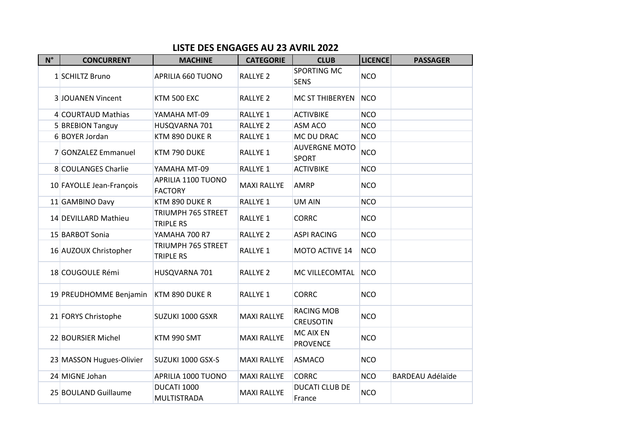## **LISTE DES ENGAGES AU 23 AVRIL 2022**

| $N^{\circ}$ | <b>CONCURRENT</b>        | <b>MACHINE</b>                         | <b>CATEGORIE</b>    | <b>CLUB</b>                           | <b>LICENCE</b> | <b>PASSAGER</b>         |
|-------------|--------------------------|----------------------------------------|---------------------|---------------------------------------|----------------|-------------------------|
|             | 1 SCHILTZ Bruno          | APRILIA 660 TUONO                      | <b>RALLYE 2</b>     | <b>SPORTING MC</b><br><b>SENS</b>     | <b>NCO</b>     |                         |
|             | <b>3 JOUANEN Vincent</b> | <b>KTM 500 EXC</b>                     | <b>RALLYE 2</b>     | MC ST THIBERYEN                       | <b>NCO</b>     |                         |
|             | 4 COURTAUD Mathias       | YAMAHA MT-09                           | RALLYE <sub>1</sub> | <b>ACTIVBIKE</b>                      | <b>NCO</b>     |                         |
|             | 5 BREBION Tanguy         | HUSQVARNA 701                          | <b>RALLYE 2</b>     | ASM ACO                               | <b>NCO</b>     |                         |
|             | 6 BOYER Jordan           | KTM 890 DUKE R                         | RALLYE <sub>1</sub> | MC DU DRAC                            | <b>NCO</b>     |                         |
|             | 7 GONZALEZ Emmanuel      | KTM 790 DUKE                           | RALLYE 1            | <b>AUVERGNE MOTO</b><br><b>SPORT</b>  | <b>NCO</b>     |                         |
|             | 8 COULANGES Charlie      | YAMAHA MT-09                           | <b>RALLYE 1</b>     | <b>ACTIVBIKE</b>                      | <b>NCO</b>     |                         |
|             | 10 FAYOLLE Jean-François | APRILIA 1100 TUONO<br><b>FACTORY</b>   | <b>MAXI RALLYE</b>  | <b>AMRP</b>                           | <b>NCO</b>     |                         |
|             | 11 GAMBINO Davy          | KTM 890 DUKE R                         | <b>RALLYE 1</b>     | <b>UM AIN</b>                         | <b>NCO</b>     |                         |
|             | 14 DEVILLARD Mathieu     | TRIUMPH 765 STREET<br><b>TRIPLE RS</b> | RALLYE 1            | <b>CORRC</b>                          | <b>NCO</b>     |                         |
|             | 15 BARBOT Sonia          | YAMAHA 700 R7                          | <b>RALLYE 2</b>     | <b>ASPI RACING</b>                    | <b>NCO</b>     |                         |
|             | 16 AUZOUX Christopher    | TRIUMPH 765 STREET<br><b>TRIPLE RS</b> | <b>RALLYE 1</b>     | MOTO ACTIVE 14                        | <b>NCO</b>     |                         |
|             | 18 COUGOULE Rémi         | HUSQVARNA 701                          | RALLYE <sub>2</sub> | MC VILLECOMTAL                        | <b>NCO</b>     |                         |
|             | 19 PREUDHOMME Benjamin   | KTM 890 DUKE R                         | <b>RALLYE 1</b>     | <b>CORRC</b>                          | <b>NCO</b>     |                         |
|             | 21 FORYS Christophe      | SUZUKI 1000 GSXR                       | <b>MAXI RALLYE</b>  | <b>RACING MOB</b><br><b>CREUSOTIN</b> | <b>NCO</b>     |                         |
|             | 22 BOURSIER Michel       | KTM 990 SMT                            | <b>MAXI RALLYE</b>  | <b>MC AIX EN</b><br><b>PROVENCE</b>   | <b>NCO</b>     |                         |
|             | 23 MASSON Hugues-Olivier | SUZUKI 1000 GSX-S                      | <b>MAXI RALLYE</b>  | <b>ASMACO</b>                         | <b>NCO</b>     |                         |
|             | 24 MIGNE Johan           | APRILIA 1000 TUONO                     | <b>MAXI RALLYE</b>  | <b>CORRC</b>                          | <b>NCO</b>     | <b>BARDEAU Adélaïde</b> |
|             | 25 BOULAND Guillaume     | DUCATI 1000<br>MULTISTRADA             | <b>MAXI RALLYE</b>  | <b>DUCATI CLUB DE</b><br>France       | <b>NCO</b>     |                         |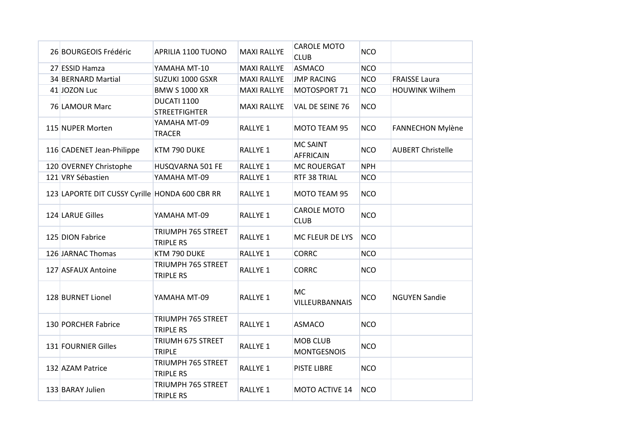| 26 BOURGEOIS Frédéric                          | APRILIA 1100 TUONO                     | <b>MAXI RALLYE</b>  | <b>CAROLE MOTO</b><br><b>CLUB</b>     | <b>NCO</b> |                          |
|------------------------------------------------|----------------------------------------|---------------------|---------------------------------------|------------|--------------------------|
| 27 ESSID Hamza                                 | YAMAHA MT-10                           | <b>MAXI RALLYE</b>  | <b>ASMACO</b>                         | <b>NCO</b> |                          |
| 34 BERNARD Martial                             | SUZUKI 1000 GSXR                       | <b>MAXI RALLYE</b>  | <b>JMP RACING</b>                     | <b>NCO</b> | <b>FRAISSE Laura</b>     |
| 41 JOZON Luc                                   | <b>BMW S 1000 XR</b>                   | <b>MAXI RALLYE</b>  | MOTOSPORT 71                          | <b>NCO</b> | <b>HOUWINK Wilhem</b>    |
| 76 LAMOUR Marc                                 | DUCATI 1100<br><b>STREETFIGHTER</b>    | <b>MAXI RALLYE</b>  | VAL DE SEINE 76                       | <b>NCO</b> |                          |
| 115 NUPER Morten                               | YAMAHA MT-09<br><b>TRACER</b>          | <b>RALLYE 1</b>     | MOTO TEAM 95                          | <b>NCO</b> | <b>FANNECHON Mylène</b>  |
| 116 CADENET Jean-Philippe                      | KTM 790 DUKE                           | RALLYE 1            | <b>MC SAINT</b><br><b>AFFRICAIN</b>   | <b>NCO</b> | <b>AUBERT Christelle</b> |
| 120 OVERNEY Christophe                         | HUSQVARNA 501 FE                       | RALLYE 1            | <b>MC ROUERGAT</b>                    | <b>NPH</b> |                          |
| 121 VRY Sébastien                              | YAMAHA MT-09                           | RALLYE <sub>1</sub> | RTF 38 TRIAL                          | <b>NCO</b> |                          |
| 123 LAPORTE DIT CUSSY Cyrille HONDA 600 CBR RR |                                        | <b>RALLYE 1</b>     | MOTO TEAM 95                          | <b>NCO</b> |                          |
| 124 LARUE Gilles                               | YAMAHA MT-09                           | RALLYE <sub>1</sub> | <b>CAROLE MOTO</b><br><b>CLUB</b>     | <b>NCO</b> |                          |
| 125 DION Fabrice                               | TRIUMPH 765 STREET<br><b>TRIPLE RS</b> | RALLYE 1            | MC FLEUR DE LYS                       | <b>NCO</b> |                          |
| 126 JARNAC Thomas                              | KTM 790 DUKE                           | RALLYE <sub>1</sub> | <b>CORRC</b>                          | <b>NCO</b> |                          |
| 127 ASFAUX Antoine                             | TRIUMPH 765 STREET<br><b>TRIPLE RS</b> | RALLYE <sub>1</sub> | <b>CORRC</b>                          | <b>NCO</b> |                          |
| 128 BURNET Lionel                              | YAMAHA MT-09                           | RALLYE 1            | <b>MC</b><br>VILLEURBANNAIS           | <b>NCO</b> | <b>NGUYEN Sandie</b>     |
| 130 PORCHER Fabrice                            | TRIUMPH 765 STREET<br><b>TRIPLE RS</b> | RALLYE <sub>1</sub> | <b>ASMACO</b>                         | <b>NCO</b> |                          |
| 131 FOURNIER Gilles                            | TRIUMH 675 STREET<br><b>TRIPLE</b>     | RALLYE <sub>1</sub> | <b>MOB CLUB</b><br><b>MONTGESNOIS</b> | <b>NCO</b> |                          |
| 132 AZAM Patrice                               | TRIUMPH 765 STREET<br><b>TRIPLE RS</b> | <b>RALLYE 1</b>     | <b>PISTE LIBRE</b>                    | <b>NCO</b> |                          |
| 133 BARAY Julien                               | TRIUMPH 765 STREET<br><b>TRIPLE RS</b> | RALLYE 1            | MOTO ACTIVE 14                        | <b>NCO</b> |                          |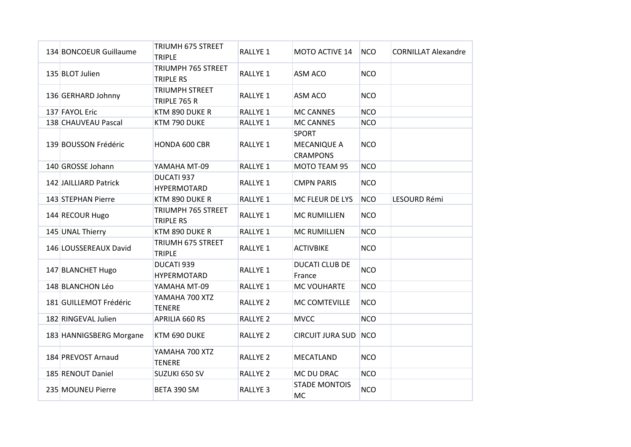| 134 BONCOEUR Guillaume  | <b>TRIUMH 675 STREET</b><br><b>TRIPLE</b> | RALLYE <sub>1</sub> | MOTO ACTIVE 14                                        | <b>NCO</b> | <b>CORNILLAT Alexandre</b> |
|-------------------------|-------------------------------------------|---------------------|-------------------------------------------------------|------------|----------------------------|
| 135 BLOT Julien         | TRIUMPH 765 STREET<br><b>TRIPLE RS</b>    | RALLYE 1            | ASM ACO                                               | <b>NCO</b> |                            |
| 136 GERHARD Johnny      | <b>TRIUMPH STREET</b><br>TRIPLE 765 R     | RALLYE 1            | ASM ACO                                               | <b>NCO</b> |                            |
| 137 FAYOL Eric          | KTM 890 DUKE R                            | RALLYE <sub>1</sub> | <b>MC CANNES</b>                                      | <b>NCO</b> |                            |
| 138 CHAUVEAU Pascal     | KTM 790 DUKE                              | RALLYE <sub>1</sub> | <b>MC CANNES</b>                                      | <b>NCO</b> |                            |
| 139 BOUSSON Frédéric    | HONDA 600 CBR                             | <b>RALLYE 1</b>     | <b>SPORT</b><br><b>MECANIQUE A</b><br><b>CRAMPONS</b> | <b>NCO</b> |                            |
| 140 GROSSE Johann       | YAMAHA MT-09                              | RALLYE <sub>1</sub> | MOTO TEAM 95                                          | <b>NCO</b> |                            |
| 142 JAILLIARD Patrick   | DUCATI 937<br>HYPERMOTARD                 | RALLYE 1            | <b>CMPN PARIS</b>                                     | <b>NCO</b> |                            |
| 143 STEPHAN Pierre      | KTM 890 DUKE R                            | RALLYE <sub>1</sub> | MC FLEUR DE LYS                                       | <b>NCO</b> | LESOURD Rémi               |
| 144 RECOUR Hugo         | TRIUMPH 765 STREET<br><b>TRIPLE RS</b>    | RALLYE 1            | <b>MC RUMILLIEN</b>                                   | <b>NCO</b> |                            |
| 145 UNAL Thierry        | KTM 890 DUKE R                            | RALLYE 1            | <b>MC RUMILLIEN</b>                                   | <b>NCO</b> |                            |
| 146 LOUSSEREAUX David   | TRIUMH 675 STREET<br><b>TRIPLE</b>        | RALLYE <sub>1</sub> | <b>ACTIVBIKE</b>                                      | <b>NCO</b> |                            |
| 147 BLANCHET Hugo       | DUCATI 939<br>HYPERMOTARD                 | RALLYE 1            | <b>DUCATI CLUB DE</b><br>France                       | <b>NCO</b> |                            |
| 148 BLANCHON Léo        | YAMAHA MT-09                              | RALLYE <sub>1</sub> | MC VOUHARTE                                           | <b>NCO</b> |                            |
| 181 GUILLEMOT Frédéric  | YAMAHA 700 XTZ<br><b>TENERE</b>           | <b>RALLYE 2</b>     | MC COMTEVILLE                                         | <b>NCO</b> |                            |
| 182 RINGEVAL Julien     | APRILIA 660 RS                            | <b>RALLYE 2</b>     | <b>MVCC</b>                                           | <b>NCO</b> |                            |
| 183 HANNIGSBERG Morgane | KTM 690 DUKE                              | <b>RALLYE 2</b>     | CIRCUIT JURA SUD NCO                                  |            |                            |
| 184 PREVOST Arnaud      | YAMAHA 700 XTZ<br><b>TENERE</b>           | RALLYE <sub>2</sub> | <b>MECATLAND</b>                                      | <b>NCO</b> |                            |
| 185 RENOUT Daniel       | SUZUKI 650 SV                             | <b>RALLYE 2</b>     | MC DU DRAC                                            | <b>NCO</b> |                            |
| 235 MOUNEU Pierre       | BETA 390 SM                               | <b>RALLYE 3</b>     | <b>STADE MONTOIS</b><br><b>MC</b>                     | <b>NCO</b> |                            |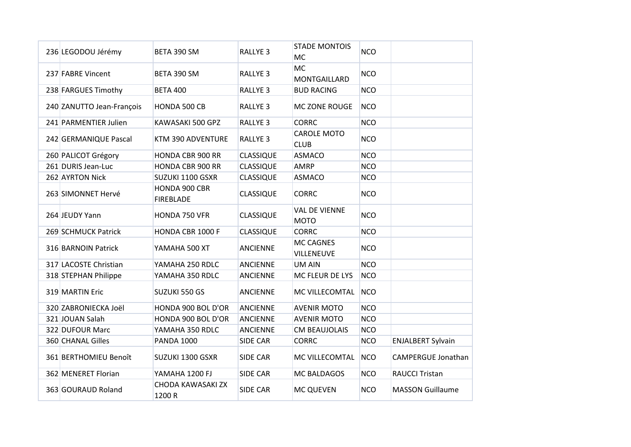| 236 LEGODOU Jérémy        | BETA 390 SM                       | <b>RALLYE 3</b>  | <b>STADE MONTOIS</b><br><b>MC</b>   | <b>NCO</b> |                           |
|---------------------------|-----------------------------------|------------------|-------------------------------------|------------|---------------------------|
| 237 FABRE Vincent         | BETA 390 SM                       | <b>RALLYE 3</b>  | <b>MC</b><br>MONTGAILLARD           | <b>NCO</b> |                           |
| 238 FARGUES Timothy       | <b>BETA 400</b>                   | <b>RALLYE 3</b>  | <b>BUD RACING</b>                   | <b>NCO</b> |                           |
| 240 ZANUTTO Jean-François | HONDA 500 CB                      | <b>RALLYE 3</b>  | MC ZONE ROUGE                       | <b>NCO</b> |                           |
| 241 PARMENTIER Julien     | KAWASAKI 500 GPZ                  | <b>RALLYE 3</b>  | <b>CORRC</b>                        | <b>NCO</b> |                           |
| 242 GERMANIQUE Pascal     | KTM 390 ADVENTURE                 | <b>RALLYE 3</b>  | <b>CAROLE MOTO</b><br><b>CLUB</b>   | <b>NCO</b> |                           |
| 260 PALICOT Grégory       | <b>HONDA CBR 900 RR</b>           | <b>CLASSIQUE</b> | <b>ASMACO</b>                       | <b>NCO</b> |                           |
| 261 DURIS Jean-Luc        | <b>HONDA CBR 900 RR</b>           | <b>CLASSIQUE</b> | <b>AMRP</b>                         | <b>NCO</b> |                           |
| 262 AYRTON Nick           | SUZUKI 1100 GSXR                  | <b>CLASSIQUE</b> | <b>ASMACO</b>                       | <b>NCO</b> |                           |
| 263 SIMONNET Hervé        | HONDA 900 CBR<br><b>FIREBLADE</b> | <b>CLASSIQUE</b> | <b>CORRC</b>                        | <b>NCO</b> |                           |
| 264 JEUDY Yann            | HONDA 750 VFR                     | <b>CLASSIQUE</b> | <b>VAL DE VIENNE</b><br><b>MOTO</b> | <b>NCO</b> |                           |
| 269 SCHMUCK Patrick       | HONDA CBR 1000 F                  | <b>CLASSIQUE</b> | <b>CORRC</b>                        | <b>NCO</b> |                           |
| 316 BARNOIN Patrick       | YAMAHA 500 XT                     | <b>ANCIENNE</b>  | MC CAGNES<br>VILLENEUVE             | <b>NCO</b> |                           |
| 317 LACOSTE Christian     | YAMAHA 250 RDLC                   | <b>ANCIENNE</b>  | <b>UM AIN</b>                       | <b>NCO</b> |                           |
| 318 STEPHAN Philippe      | YAMAHA 350 RDLC                   | <b>ANCIENNE</b>  | MC FLEUR DE LYS                     | <b>NCO</b> |                           |
| 319 MARTIN Eric           | SUZUKI 550 GS                     | <b>ANCIENNE</b>  | MC VILLECOMTAL                      | <b>NCO</b> |                           |
| 320 ZABRONIECKA Joël      | HONDA 900 BOL D'OR                | <b>ANCIENNE</b>  | <b>AVENIR MOTO</b>                  | <b>NCO</b> |                           |
| 321 JOUAN Salah           | HONDA 900 BOL D'OR                | <b>ANCIENNE</b>  | <b>AVENIR MOTO</b>                  | <b>NCO</b> |                           |
| 322 DUFOUR Marc           | YAMAHA 350 RDLC                   | <b>ANCIENNE</b>  | <b>CM BEAUJOLAIS</b>                | <b>NCO</b> |                           |
| 360 CHANAL Gilles         | <b>PANDA 1000</b>                 | SIDE CAR         | <b>CORRC</b>                        | <b>NCO</b> | <b>ENJALBERT Sylvain</b>  |
| 361 BERTHOMIEU Benoît     | SUZUKI 1300 GSXR                  | <b>SIDE CAR</b>  | MC VILLECOMTAL                      | <b>NCO</b> | <b>CAMPERGUE Jonathan</b> |
| 362 MENERET Florian       | YAMAHA 1200 FJ                    | <b>SIDE CAR</b>  | MC BALDAGOS                         | <b>NCO</b> | <b>RAUCCI Tristan</b>     |
| 363 GOURAUD Roland        | CHODA KAWASAKI ZX<br>1200 R       | SIDE CAR         | <b>MC QUEVEN</b>                    | <b>NCO</b> | <b>MASSON Guillaume</b>   |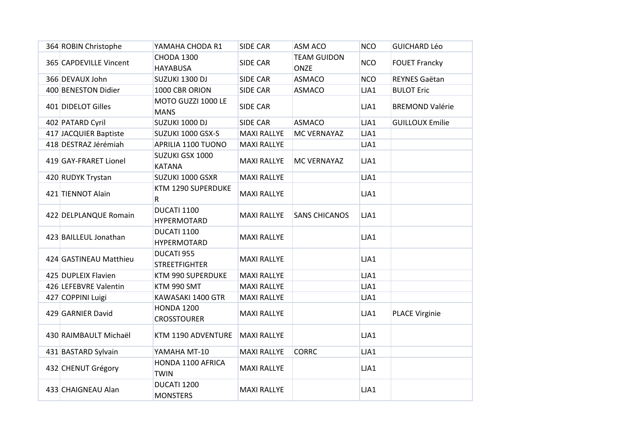| 364 ROBIN Christophe   | YAMAHA CHODA R1                         | <b>SIDE CAR</b>    | ASM ACO                    | <b>NCO</b> | <b>GUICHARD Léo</b>    |
|------------------------|-----------------------------------------|--------------------|----------------------------|------------|------------------------|
| 365 CAPDEVILLE Vincent | <b>CHODA 1300</b><br><b>HAYABUSA</b>    | <b>SIDE CAR</b>    | <b>TEAM GUIDON</b><br>ONZE | <b>NCO</b> | <b>FOUET Francky</b>   |
| 366 DEVAUX John        | SUZUKI 1300 DJ                          | <b>SIDE CAR</b>    | <b>ASMACO</b>              | <b>NCO</b> | REYNES Gaëtan          |
| 400 BENESTON Didier    | 1000 CBR ORION                          | SIDE CAR           | <b>ASMACO</b>              | LJA1       | <b>BULOT Eric</b>      |
| 401 DIDELOT Gilles     | MOTO GUZZI 1000 LE<br><b>MANS</b>       | SIDE CAR           |                            | LJA1       | <b>BREMOND Valérie</b> |
| 402 PATARD Cyril       | SUZUKI 1000 DJ                          | SIDE CAR           | <b>ASMACO</b>              | LJA1       | <b>GUILLOUX Emilie</b> |
| 417 JACQUIER Baptiste  | SUZUKI 1000 GSX-S                       | <b>MAXI RALLYE</b> | MC VERNAYAZ                | LJA1       |                        |
| 418 DESTRAZ Jérémiah   | APRILIA 1100 TUONO                      | <b>MAXI RALLYE</b> |                            | LJA1       |                        |
| 419 GAY-FRARET Lionel  | SUZUKI GSX 1000<br><b>KATANA</b>        | <b>MAXI RALLYE</b> | MC VERNAYAZ                | LJA1       |                        |
| 420 RUDYK Trystan      | SUZUKI 1000 GSXR                        | <b>MAXI RALLYE</b> |                            | LJA1       |                        |
| 421 TIENNOT Alain      | KTM 1290 SUPERDUKE<br>R                 | <b>MAXI RALLYE</b> |                            | LJA1       |                        |
| 422 DELPLANQUE Romain  | DUCATI 1100<br><b>HYPERMOTARD</b>       | <b>MAXI RALLYE</b> | <b>SANS CHICANOS</b>       | LJA1       |                        |
| 423 BAILLEUL Jonathan  | DUCATI 1100<br><b>HYPERMOTARD</b>       | <b>MAXI RALLYE</b> |                            | LJA1       |                        |
| 424 GASTINEAU Matthieu | DUCATI 955<br><b>STREETFIGHTER</b>      | <b>MAXI RALLYE</b> |                            | LJA1       |                        |
| 425 DUPLEIX Flavien    | KTM 990 SUPERDUKE                       | <b>MAXI RALLYE</b> |                            | LJA1       |                        |
| 426 LEFEBVRE Valentin  | KTM 990 SMT                             | <b>MAXI RALLYE</b> |                            | LJA1       |                        |
| 427 COPPINI Luigi      | KAWASAKI 1400 GTR                       | <b>MAXI RALLYE</b> |                            | LJA1       |                        |
| 429 GARNIER David      | <b>HONDA 1200</b><br><b>CROSSTOURER</b> | <b>MAXI RALLYE</b> |                            | LJA1       | <b>PLACE Virginie</b>  |
| 430 RAIMBAULT Michaël  | KTM 1190 ADVENTURE                      | <b>MAXI RALLYE</b> |                            | LJA1       |                        |
| 431 BASTARD Sylvain    | YAMAHA MT-10                            | <b>MAXI RALLYE</b> | <b>CORRC</b>               | LJA1       |                        |
| 432 CHENUT Grégory     | HONDA 1100 AFRICA<br><b>TWIN</b>        | <b>MAXI RALLYE</b> |                            | LJA1       |                        |
| 433 CHAIGNEAU Alan     | DUCATI 1200<br><b>MONSTERS</b>          | <b>MAXI RALLYE</b> |                            | LJA1       |                        |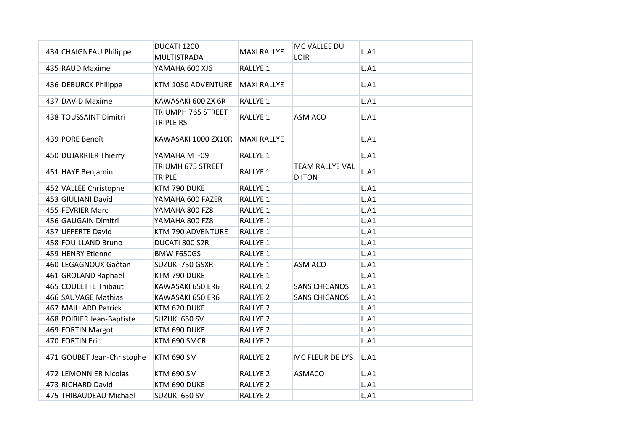| 434 CHAIGNEAU Philippe     | DUCATI 1200<br>MULTISTRADA             | <b>MAXI RALLYE</b>  | MC VALLEE DU<br><b>LOIR</b>             | LJA1 |
|----------------------------|----------------------------------------|---------------------|-----------------------------------------|------|
| 435 RAUD Maxime            | YAMAHA 600 XJ6                         | <b>RALLYE 1</b>     |                                         | LJA1 |
| 436 DEBURCK Philippe       | KTM 1050 ADVENTURE                     | <b>MAXI RALLYE</b>  |                                         | LJA1 |
| 437 DAVID Maxime           | KAWASAKI 600 ZX 6R                     | RALLYE 1            |                                         | LJA1 |
| 438 TOUSSAINT Dimitri      | TRIUMPH 765 STREET<br><b>TRIPLE RS</b> | <b>RALLYE 1</b>     | ASM ACO                                 | LJA1 |
| 439 PORE Benoît            | KAWASAKI 1000 ZX10R                    | <b>MAXI RALLYE</b>  |                                         | LJA1 |
| 450 DUJARRIER Thierry      | YAMAHA MT-09                           | <b>RALLYE 1</b>     |                                         | LJA1 |
| 451 HAYE Benjamin          | TRIUMH 675 STREET<br><b>TRIPLE</b>     | <b>RALLYE 1</b>     | <b>TEAM RALLYE VAL</b><br><b>D'ITON</b> | LJA1 |
| 452 VALLEE Christophe      | KTM 790 DUKE                           | RALLYE 1            |                                         | LJA1 |
| 453 GIULIANI David         | YAMAHA 600 FAZER                       | <b>RALLYE 1</b>     |                                         | LJA1 |
| 455 FEVRIER Marc           | YAMAHA 800 FZ8                         | RALLYE 1            |                                         | LJA1 |
| 456 GAUGAIN Dimitri        | YAMAHA 800 FZ8                         | <b>RALLYE 1</b>     |                                         | LJA1 |
| 457 UFFERTE David          | KTM 790 ADVENTURE                      | <b>RALLYE 1</b>     |                                         | LJA1 |
| 458 FOUILLAND Bruno        | DUCATI 800 S2R                         | <b>RALLYE 1</b>     |                                         | LJA1 |
| 459 HENRY Etienne          | <b>BMW F650GS</b>                      | RALLYE <sub>1</sub> |                                         | LJA1 |
| 460 LEGAGNOUX Gaêtan       | SUZUKI 750 GSXR                        | RALLYE 1            | ASM ACO                                 | LJA1 |
| 461 GROLAND Raphaël        | KTM 790 DUKE                           | <b>RALLYE 1</b>     |                                         | LJA1 |
| 465 COULETTE Thibaut       | KAWASAKI 650 ER6                       | <b>RALLYE 2</b>     | <b>SANS CHICANOS</b>                    | LJA1 |
| 466 SAUVAGE Mathias        | KAWASAKI 650 ER6                       | <b>RALLYE 2</b>     | <b>SANS CHICANOS</b>                    | LJA1 |
| 467 MAILLARD Patrick       | KTM 620 DUKE                           | <b>RALLYE 2</b>     |                                         | LJA1 |
| 468 POIRIER Jean-Baptiste  | SUZUKI 650 SV                          | <b>RALLYE 2</b>     |                                         | LJA1 |
| 469 FORTIN Margot          | KTM 690 DUKE                           | <b>RALLYE 2</b>     |                                         | LJA1 |
| 470 FORTIN Eric            | KTM 690 SMCR                           | <b>RALLYE 2</b>     |                                         | LJA1 |
| 471 GOUBET Jean-Christophe | <b>KTM 690 SM</b>                      | <b>RALLYE 2</b>     | MC FLEUR DE LYS                         | LJA1 |
| 472 LEMONNIER Nicolas      | <b>KTM 690 SM</b>                      | <b>RALLYE 2</b>     | <b>ASMACO</b>                           | LJA1 |
| 473 RICHARD David          | KTM 690 DUKE                           | <b>RALLYE 2</b>     |                                         | LJA1 |
| 475 THIBAUDEAU Michaël     | SUZUKI 650 SV                          | <b>RALLYE 2</b>     |                                         | LJA1 |